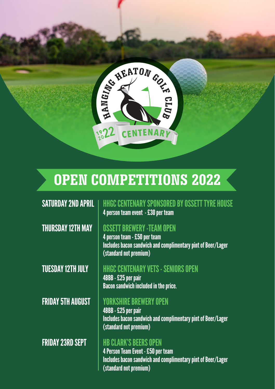

# **OPEN COMPETITIONS 2022**

SATURDAY 2ND APRIL | HHGC CENTENARY SPONSORED BY OSSETT TYRE HOUSE 4 person team event - £30 per team

### **THURSDAY 12TH MAY**  $\parallel$  **OSSETT BREWERY -TEAM OPEN**

4 person team - £50 per team Includes bacon sandwich and complimentary pint of Beer/Lager (standard not premium)

#### TUESDAY 12TH JULY HHGC CENTENARY VETS - SENIORS OPEN

4BBB - £25 per pair Bacon sandwich included in the price.

#### **FRIDAY 5TH AUGUST | YORKSHIRE BREWERY OPEN**

4BBB - £25 per pair Includes bacon sandwich and complimentary pint of Beer/Lager (standard not premium)

#### FRIDAY 23RD SEPT HB CLARK'S BEERS OPEN

4 Person Team Event - £50 per team Includes bacon sandwich and complimentary pint of Beer/Lager (standard not premium)